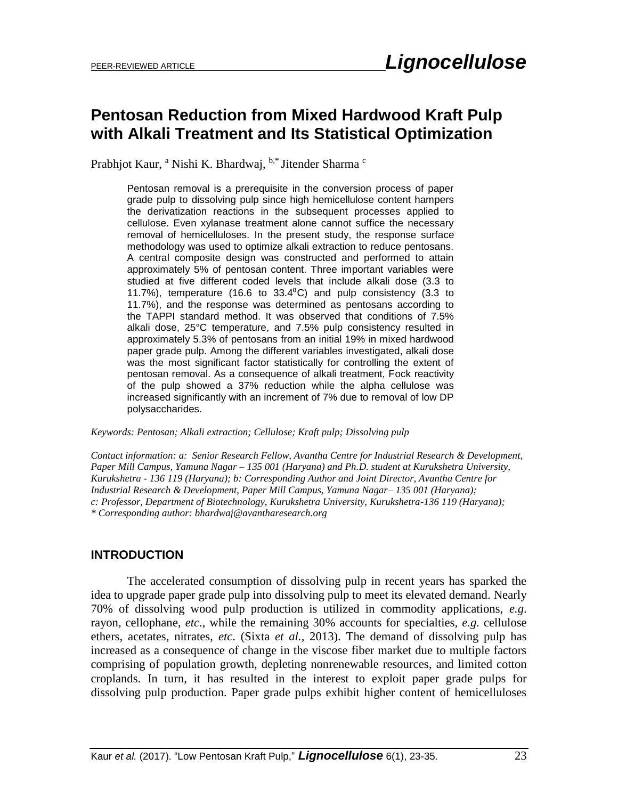# **Pentosan Reduction from Mixed Hardwood Kraft Pulp with Alkali Treatment and Its Statistical Optimization**

Prabhjot Kaur, <sup>a</sup> Nishi K. Bhardwaj, <sup>b,\*</sup> Jitender Sharma <sup>c</sup>

Pentosan removal is a prerequisite in the conversion process of paper grade pulp to dissolving pulp since high hemicellulose content hampers the derivatization reactions in the subsequent processes applied to cellulose. Even xylanase treatment alone cannot suffice the necessary removal of hemicelluloses. In the present study, the response surface methodology was used to optimize alkali extraction to reduce pentosans. A central composite design was constructed and performed to attain approximately 5% of pentosan content. Three important variables were studied at five different coded levels that include alkali dose (3.3 to 11.7%), temperature (16.6 to  $33.4^{\circ}$ C) and pulp consistency (3.3 to 11.7%), and the response was determined as pentosans according to the TAPPI standard method. It was observed that conditions of 7.5% alkali dose, 25°C temperature, and 7.5% pulp consistency resulted in approximately 5.3% of pentosans from an initial 19% in mixed hardwood paper grade pulp. Among the different variables investigated, alkali dose was the most significant factor statistically for controlling the extent of pentosan removal. As a consequence of alkali treatment, Fock reactivity of the pulp showed a 37% reduction while the alpha cellulose was increased significantly with an increment of 7% due to removal of low DP polysaccharides.

*Keywords: Pentosan; Alkali extraction; Cellulose; Kraft pulp; Dissolving pulp*

*Contact information: a: Senior Research Fellow, Avantha Centre for Industrial Research & Development, Paper Mill Campus, Yamuna Nagar – 135 001 (Haryana) and Ph.D. student at Kurukshetra University, Kurukshetra - 136 119 (Haryana); b: Corresponding Author and Joint Director, Avantha Centre for Industrial Research & Development, Paper Mill Campus, Yamuna Nagar– 135 001 (Haryana); c: Professor, Department of Biotechnology, Kurukshetra University, Kurukshetra-136 119 (Haryana); \* Corresponding author: [bhardwaj@avantharesearch.org](mailto:bhardwaj@avantharesearch.org)*

#### **INTRODUCTION**

The accelerated consumption of dissolving pulp in recent years has sparked the idea to upgrade paper grade pulp into dissolving pulp to meet its elevated demand. Nearly 70% of dissolving wood pulp production is utilized in commodity applications, *e.g*. rayon, cellophane, *etc*., while the remaining 30% accounts for specialties, *e.g.* cellulose ethers, acetates, nitrates, *etc*. (Sixta *et al.,* 2013). The demand of dissolving pulp has increased as a consequence of change in the viscose fiber market due to multiple factors comprising of population growth, depleting nonrenewable resources, and limited cotton croplands. In turn, it has resulted in the interest to exploit paper grade pulps for dissolving pulp production. Paper grade pulps exhibit higher content of hemicelluloses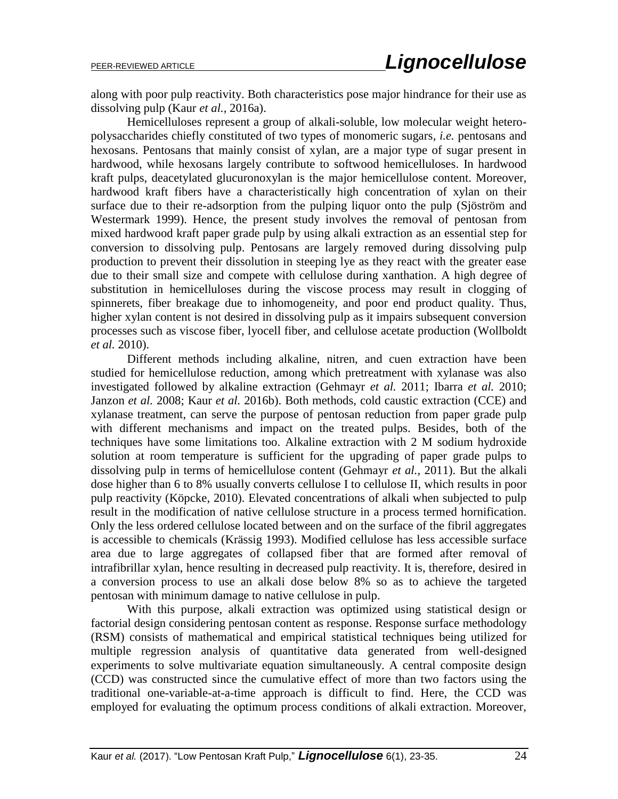along with poor pulp reactivity. Both characteristics pose major hindrance for their use as dissolving pulp (Kaur *et al.,* 2016a).

Hemicelluloses represent a group of alkali-soluble, low molecular weight heteropolysaccharides chiefly constituted of two types of monomeric sugars, *i.e.* pentosans and hexosans. Pentosans that mainly consist of xylan, are a major type of sugar present in hardwood, while hexosans largely contribute to softwood hemicelluloses. In hardwood kraft pulps, deacetylated glucuronoxylan is the major hemicellulose content. Moreover, hardwood kraft fibers have a characteristically high concentration of xylan on their surface due to their re-adsorption from the pulping liquor onto the pulp (Sjöström and Westermark 1999). Hence, the present study involves the removal of pentosan from mixed hardwood kraft paper grade pulp by using alkali extraction as an essential step for conversion to dissolving pulp. Pentosans are largely removed during dissolving pulp production to prevent their dissolution in steeping lye as they react with the greater ease due to their small size and compete with cellulose during xanthation. A high degree of substitution in hemicelluloses during the viscose process may result in clogging of spinnerets, fiber breakage due to inhomogeneity, and poor end product quality. Thus, higher xylan content is not desired in dissolving pulp as it impairs subsequent conversion processes such as viscose fiber, lyocell fiber, and cellulose acetate production (Wollboldt *et al.* 2010).

Different methods including alkaline, nitren, and cuen extraction have been studied for hemicellulose reduction, among which pretreatment with xylanase was also investigated followed by alkaline extraction (Gehmayr *et al.* 2011; Ibarra *et al.* 2010; Janzon *et al.* 2008; Kaur *et al.* 2016b). Both methods, cold caustic extraction (CCE) and xylanase treatment, can serve the purpose of pentosan reduction from paper grade pulp with different mechanisms and impact on the treated pulps. Besides, both of the techniques have some limitations too. Alkaline extraction with 2 M sodium hydroxide solution at room temperature is sufficient for the upgrading of paper grade pulps to dissolving pulp in terms of hemicellulose content (Gehmayr *et al.,* 2011). But the alkali dose higher than 6 to 8% usually converts cellulose I to cellulose II, which results in poor pulp reactivity (Köpcke, 2010). Elevated concentrations of alkali when subjected to pulp result in the modification of native cellulose structure in a process termed hornification. Only the less ordered cellulose located between and on the surface of the fibril aggregates is accessible to chemicals (Krässig 1993). Modified cellulose has less accessible surface area due to large aggregates of collapsed fiber that are formed after removal of intrafibrillar xylan, hence resulting in decreased pulp reactivity. It is, therefore, desired in a conversion process to use an alkali dose below 8% so as to achieve the targeted pentosan with minimum damage to native cellulose in pulp.

With this purpose, alkali extraction was optimized using statistical design or factorial design considering pentosan content as response. Response surface methodology (RSM) consists of mathematical and empirical statistical techniques being utilized for multiple regression analysis of quantitative data generated from well-designed experiments to solve multivariate equation simultaneously. A central composite design (CCD) was constructed since the cumulative effect of more than two factors using the traditional one-variable-at-a-time approach is difficult to find. Here, the CCD was employed for evaluating the optimum process conditions of alkali extraction. Moreover,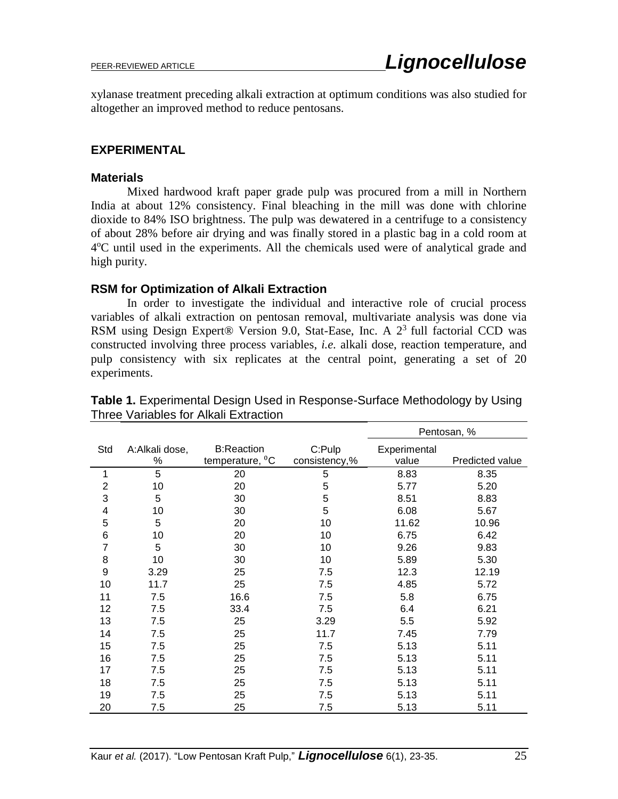xylanase treatment preceding alkali extraction at optimum conditions was also studied for altogether an improved method to reduce pentosans.

#### **EXPERIMENTAL**

#### **Materials**

Mixed hardwood kraft paper grade pulp was procured from a mill in Northern India at about 12% consistency. Final bleaching in the mill was done with chlorine dioxide to 84% ISO brightness. The pulp was dewatered in a centrifuge to a consistency of about 28% before air drying and was finally stored in a plastic bag in a cold room at 4<sup>o</sup>C until used in the experiments. All the chemicals used were of analytical grade and high purity.

### **RSM for Optimization of Alkali Extraction**

In order to investigate the individual and interactive role of crucial process variables of alkali extraction on pentosan removal, multivariate analysis was done via RSM using Design Expert® Version 9.0, Stat-Ease, Inc. A  $2<sup>3</sup>$  full factorial CCD was constructed involving three process variables, *i.e.* alkali dose, reaction temperature, and pulp consistency with six replicates at the central point, generating a set of 20 experiments.

|                |                     |                                                  |                         | Pentosan, %           |                 |
|----------------|---------------------|--------------------------------------------------|-------------------------|-----------------------|-----------------|
| Std            | A:Alkali dose,<br>% | <b>B:Reaction</b><br>temperature, <sup>0</sup> C | C:Pulp<br>consistency,% | Experimental<br>value | Predicted value |
| 1              | 5                   | 20                                               | 5                       | 8.83                  | 8.35            |
| $\overline{2}$ | 10                  | 20                                               | 5                       | 5.77                  | 5.20            |
| 3              | 5                   | 30                                               | 5                       | 8.51                  | 8.83            |
| $\overline{4}$ | 10                  | 30                                               | 5                       | 6.08                  | 5.67            |
| 5              | 5                   | 20                                               | 10                      | 11.62                 | 10.96           |
| $\,$ 6 $\,$    | 10                  | 20                                               | 10                      | 6.75                  | 6.42            |
| $\overline{7}$ | 5                   | 30                                               | 10                      | 9.26                  | 9.83            |
| 8              | 10                  | 30                                               | 10                      | 5.89                  | 5.30            |
| 9              | 3.29                | 25                                               | 7.5                     | 12.3                  | 12.19           |
| 10             | 11.7                | 25                                               | 7.5                     | 4.85                  | 5.72            |
| 11             | 7.5                 | 16.6                                             | 7.5                     | 5.8                   | 6.75            |
| 12             | 7.5                 | 33.4                                             | 7.5                     | 6.4                   | 6.21            |
| 13             | 7.5                 | 25                                               | 3.29                    | 5.5                   | 5.92            |
| 14             | 7.5                 | 25                                               | 11.7                    | 7.45                  | 7.79            |
| 15             | 7.5                 | 25                                               | 7.5                     | 5.13                  | 5.11            |
| 16             | 7.5                 | 25                                               | 7.5                     | 5.13                  | 5.11            |
| 17             | 7.5                 | 25                                               | 7.5                     | 5.13                  | 5.11            |
| 18             | 7.5                 | 25                                               | 7.5                     | 5.13                  | 5.11            |
| 19             | 7.5                 | 25                                               | 7.5                     | 5.13                  | 5.11            |
| 20             | 7.5                 | 25                                               | 7.5                     | 5.13                  | 5.11            |

**Table 1.** Experimental Design Used in Response-Surface Methodology by Using Three Variables for Alkali Extraction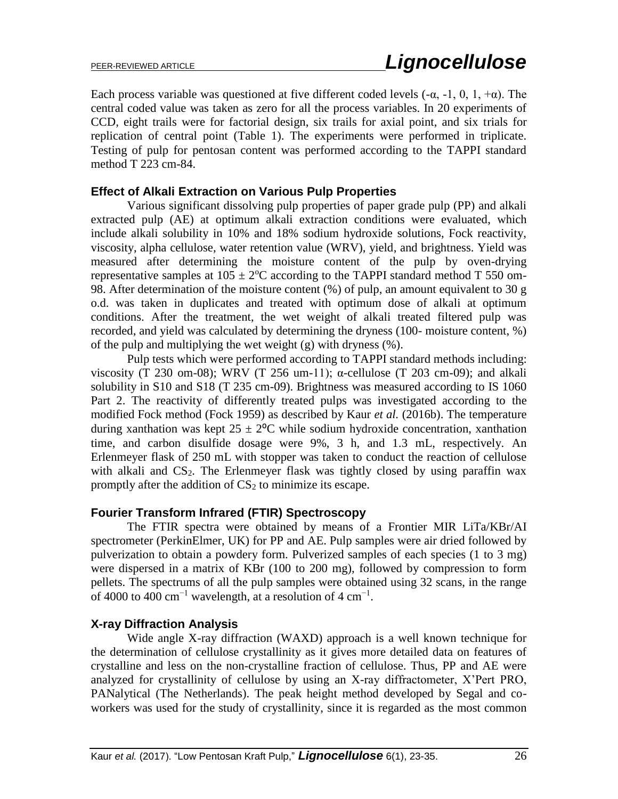Each process variable was questioned at five different coded levels  $(-\alpha, -1, 0, 1, +\alpha)$ . The central coded value was taken as zero for all the process variables. In 20 experiments of CCD, eight trails were for factorial design, six trails for axial point, and six trials for replication of central point (Table 1). The experiments were performed in triplicate. Testing of pulp for pentosan content was performed according to the TAPPI standard method T 223 cm-84.

# **Effect of Alkali Extraction on Various Pulp Properties**

Various significant dissolving pulp properties of paper grade pulp (PP) and alkali extracted pulp (AE) at optimum alkali extraction conditions were evaluated, which include alkali solubility in 10% and 18% sodium hydroxide solutions, Fock reactivity, viscosity, alpha cellulose, water retention value (WRV), yield, and brightness. Yield was measured after determining the moisture content of the pulp by oven-drying representative samples at  $105 \pm 2^{\circ}$ C according to the TAPPI standard method T 550 om-98. After determination of the moisture content (%) of pulp, an amount equivalent to 30 g o.d. was taken in duplicates and treated with optimum dose of alkali at optimum conditions. After the treatment, the wet weight of alkali treated filtered pulp was recorded, and yield was calculated by determining the dryness (100- moisture content, %) of the pulp and multiplying the wet weight (g) with dryness (%).

Pulp tests which were performed according to TAPPI standard methods including: viscosity (T 230 om-08); WRV (T 256 um-11);  $\alpha$ -cellulose (T 203 cm-09); and alkali solubility in S10 and S18 (T 235 cm-09). Brightness was measured according to IS 1060 Part 2. The reactivity of differently treated pulps was investigated according to the modified Fock method (Fock 1959) as described by Kaur *et al.* (2016b). The temperature during xanthation was kept  $25 \pm 2^{\circ}$ C while sodium hydroxide concentration, xanthation time, and carbon disulfide dosage were 9%, 3 h, and 1.3 mL, respectively. An Erlenmeyer flask of 250 mL with stopper was taken to conduct the reaction of cellulose with alkali and  $CS_2$ . The Erlenmeyer flask was tightly closed by using paraffin wax promptly after the addition of  $CS<sub>2</sub>$  to minimize its escape.

# **Fourier Transform Infrared (FTIR) Spectroscopy**

The FTIR spectra were obtained by means of a Frontier MIR LiTa/KBr/AI spectrometer (PerkinElmer, UK) for PP and AE. Pulp samples were air dried followed by pulverization to obtain a powdery form. Pulverized samples of each species (1 to 3 mg) were dispersed in a matrix of KBr (100 to 200 mg), followed by compression to form pellets. The spectrums of all the pulp samples were obtained using 32 scans, in the range of 4000 to 400 cm<sup>-1</sup> wavelength, at a resolution of 4 cm<sup>-1</sup>.

# **X-ray Diffraction Analysis**

Wide angle X-ray diffraction (WAXD) approach is a well known technique for the determination of cellulose crystallinity as it gives more detailed data on features of crystalline and less on the non-crystalline fraction of cellulose. Thus, PP and AE were analyzed for crystallinity of cellulose by using an X-ray diffractometer, X'Pert PRO, PANalytical (The Netherlands). The peak height method developed by Segal and coworkers was used for the study of crystallinity, since it is regarded as the most common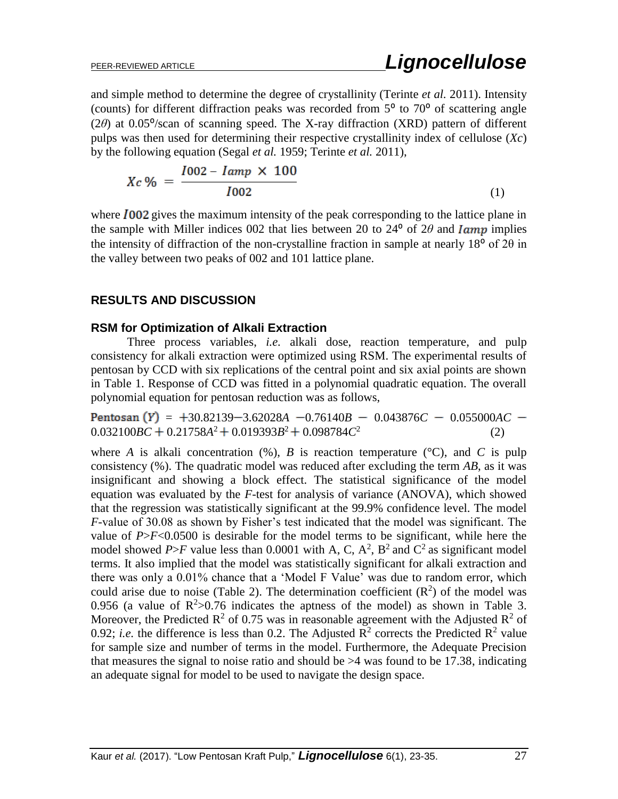and simple method to determine the degree of crystallinity (Terinte *et al.* 2011). Intensity (counts) for different diffraction peaks was recorded from  $5^{\circ}$  to  $70^{\circ}$  of scattering angle ( $2\theta$ ) at 0.05<sup>o</sup>/scan of scanning speed. The X-ray diffraction (XRD) pattern of different pulps was then used for determining their respective crystallinity index of cellulose (*Xc*) by the following equation (Segal *et al.* 1959; Terinte *et al.* 2011),

$$
Xc\% = \frac{I002 - \text{Iamp} \times 100}{I002} \tag{1}
$$

where  $I_{002}$  gives the maximum intensity of the peak corresponding to the lattice plane in the sample with Miller indices 002 that lies between 20 to 24<sup>°</sup> of 2 $\theta$  and *lamp* implies the intensity of diffraction of the non-crystalline fraction in sample at nearly  $18^{\circ}$  of  $2\theta$  in the valley between two peaks of 002 and 101 lattice plane.

### **RESULTS AND DISCUSSION**

#### **RSM for Optimization of Alkali Extraction**

Three process variables, *i.e.* alkali dose, reaction temperature, and pulp consistency for alkali extraction were optimized using RSM. The experimental results of pentosan by CCD with six replications of the central point and six axial points are shown in Table 1. Response of CCD was fitted in a polynomial quadratic equation. The overall polynomial equation for pentosan reduction was as follows,

 $Pentosan(Y) = +30.82139 - 3.62028A -0.76140B - 0.043876C - 0.055000AC$  $0.032100BC + 0.21758A^2 + 0.019393B^2 + 0.098784C^2$ (2)

where *A* is alkali concentration  $(\%)$ , *B* is reaction temperature  $({}^{\circ}C)$ , and *C* is pulp consistency (%). The quadratic model was reduced after excluding the term *AB*, as it was insignificant and showing a block effect. The statistical significance of the model equation was evaluated by the *F*-test for analysis of variance (ANOVA), which showed that the regression was statistically significant at the 99.9% confidence level. The model *F*-value of 30.08 as shown by Fisher's test indicated that the model was significant. The value of *P*>*F*<0.0500 is desirable for the model terms to be significant, while here the model showed *P*>*F* value less than 0.0001 with A, C,  $A^2$ ,  $B^2$  and  $C^2$  as significant model terms. It also implied that the model was statistically significant for alkali extraction and there was only a 0.01% chance that a 'Model F Value' was due to random error, which could arise due to noise (Table 2). The determination coefficient  $(R^2)$  of the model was 0.956 (a value of  $R^2 > 0.76$  indicates the aptness of the model) as shown in Table 3. Moreover, the Predicted  $R^2$  of 0.75 was in reasonable agreement with the Adjusted  $R^2$  of 0.92; *i.e.* the difference is less than 0.2. The Adjusted  $\mathbb{R}^2$  corrects the Predicted  $\mathbb{R}^2$  value for sample size and number of terms in the model. Furthermore, the Adequate Precision that measures the signal to noise ratio and should be  $>4$  was found to be 17.38, indicating an adequate signal for model to be used to navigate the design space.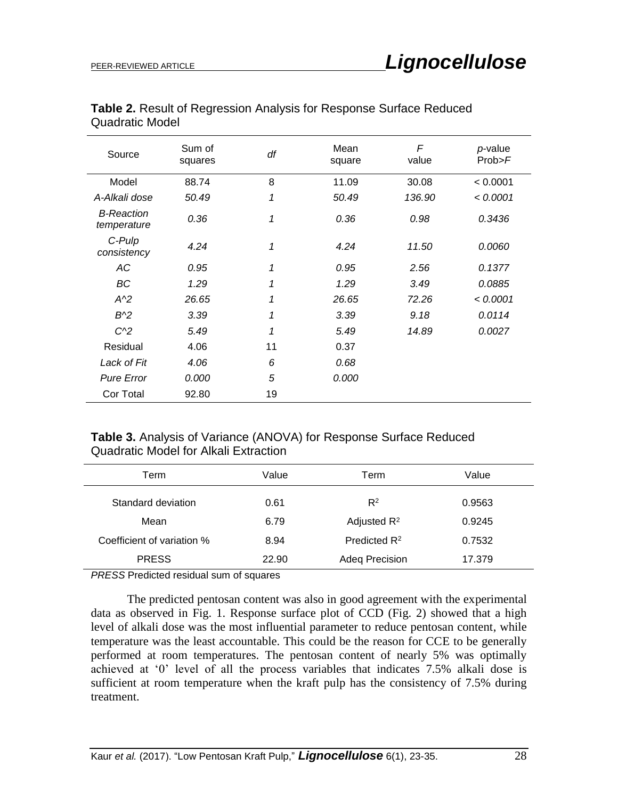| Source                           | Sum of<br>squares | df | Mean<br>square | F<br>value | p-value<br>Prob>F |
|----------------------------------|-------------------|----|----------------|------------|-------------------|
| Model                            | 88.74             | 8  | 11.09          | 30.08      | < 0.0001          |
| A-Alkali dose                    | 50.49             | 1  | 50.49          | 136.90     | < 0.0001          |
| <b>B-Reaction</b><br>temperature | 0.36              | 1  | 0.36           | 0.98       | 0.3436            |
| C-Pulp<br>consistency            | 4.24              | 1  | 4.24           | 11.50      | 0.0060            |
| АC                               | 0.95              | 1  | 0.95           | 2.56       | 0.1377            |
| BC                               | 1.29              | 1  | 1.29           | 3.49       | 0.0885            |
| $A^2$                            | 26.65             | 1  | 26.65          | 72.26      | < 0.0001          |
| $B^2$                            | 3.39              | 1  | 3.39           | 9.18       | 0.0114            |
| $C^{2}$                          | 5.49              | 1  | 5.49           | 14.89      | 0.0027            |
| Residual                         | 4.06              | 11 | 0.37           |            |                   |
| Lack of Fit                      | 4.06              | 6  | 0.68           |            |                   |
| <b>Pure Error</b>                | 0.000             | 5  | 0.000          |            |                   |
| Cor Total                        | 92.80             | 19 |                |            |                   |

**Table 2.** Result of Regression Analysis for Response Surface Reduced Quadratic Model

# **Table 3.** Analysis of Variance (ANOVA) for Response Surface Reduced Quadratic Model for Alkali Extraction

| Term                                                                 | Value | Term                     | Value  |  |
|----------------------------------------------------------------------|-------|--------------------------|--------|--|
| Standard deviation                                                   | 0.61  | $R^2$                    | 0.9563 |  |
| Mean                                                                 | 6.79  | Adjusted $R^2$           | 0.9245 |  |
| Coefficient of variation %                                           | 8.94  | Predicted R <sup>2</sup> | 0.7532 |  |
| <b>PRESS</b>                                                         | 22.90 | <b>Adeq Precision</b>    | 17.379 |  |
| $\mathbf{r}$ , and a set of $\mathbf{r}$ , and a set of $\mathbf{r}$ |       |                          |        |  |

*PRESS* Predicted residual sum of squares

The predicted pentosan content was also in good agreement with the experimental data as observed in Fig. 1. Response surface plot of CCD (Fig. 2) showed that a high level of alkali dose was the most influential parameter to reduce pentosan content, while temperature was the least accountable. This could be the reason for CCE to be generally performed at room temperatures. The pentosan content of nearly 5% was optimally achieved at '0' level of all the process variables that indicates 7.5% alkali dose is sufficient at room temperature when the kraft pulp has the consistency of 7.5% during treatment.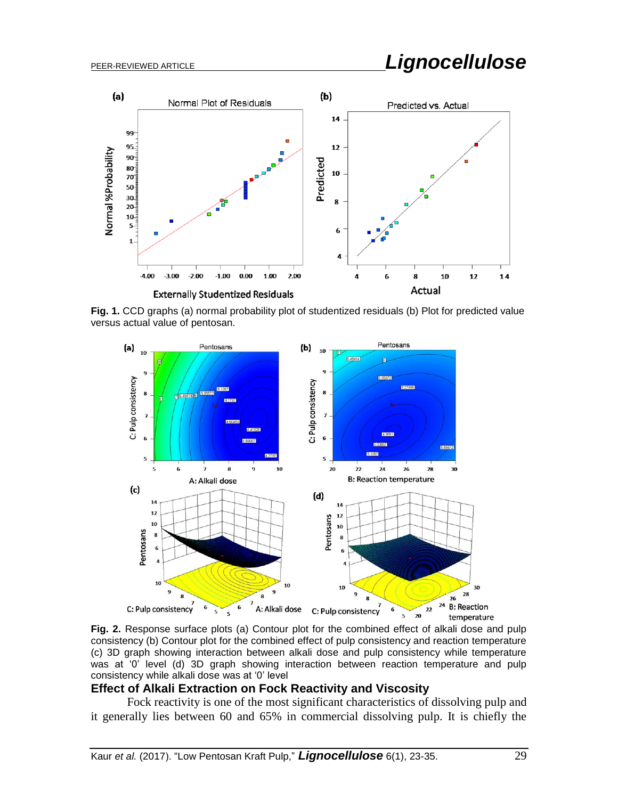# PEER-REVIEWED ARTICLE *Lignocellulose*



**Fig. 1.** CCD graphs (a) normal probability plot of studentized residuals (b) Plot for predicted value versus actual value of pentosan.



**Fig. 2.** Response surface plots (a) Contour plot for the combined effect of alkali dose and pulp consistency (b) Contour plot for the combined effect of pulp consistency and reaction temperature (c) 3D graph showing interaction between alkali dose and pulp consistency while temperature was at '0' level (d) 3D graph showing interaction between reaction temperature and pulp consistency while alkali dose was at '0' level

#### **Effect of Alkali Extraction on Fock Reactivity and Viscosity**

Fock reactivity is one of the most significant characteristics of dissolving pulp and it generally lies between 60 and 65% in commercial dissolving pulp. It is chiefly the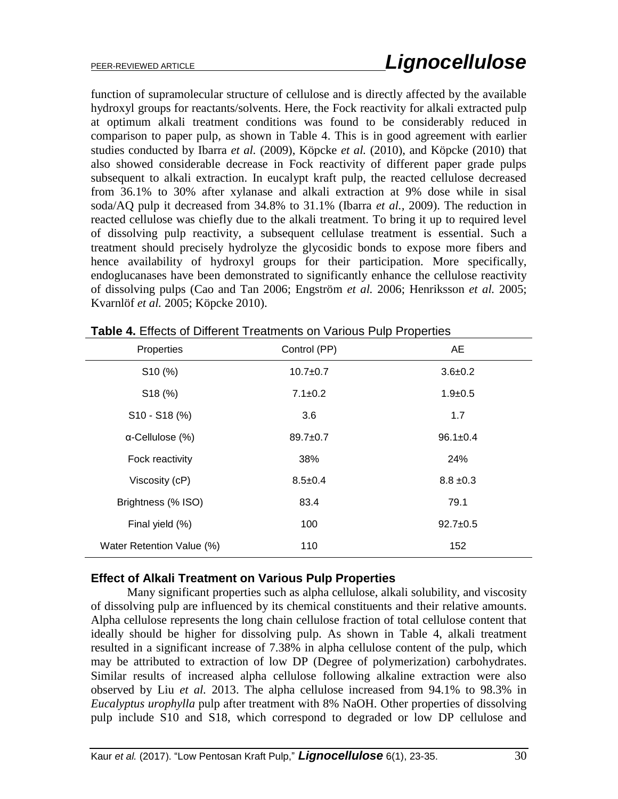function of supramolecular structure of cellulose and is directly affected by the available hydroxyl groups for reactants/solvents. Here, the Fock reactivity for alkali extracted pulp at optimum alkali treatment conditions was found to be considerably reduced in comparison to paper pulp, as shown in Table 4. This is in good agreement with earlier studies conducted by Ibarra *et al.* (2009), Köpcke *et al.* (2010), and Köpcke (2010) that also showed considerable decrease in Fock reactivity of different paper grade pulps subsequent to alkali extraction. In eucalypt kraft pulp, the reacted cellulose decreased from 36.1% to 30% after xylanase and alkali extraction at 9% dose while in sisal soda/AQ pulp it decreased from 34.8% to 31.1% (Ibarra *et al.,* 2009). The reduction in reacted cellulose was chiefly due to the alkali treatment. To bring it up to required level of dissolving pulp reactivity, a subsequent cellulase treatment is essential. Such a treatment should precisely hydrolyze the glycosidic bonds to expose more fibers and hence availability of hydroxyl groups for their participation. More specifically, endoglucanases have been demonstrated to significantly enhance the cellulose reactivity of dissolving pulps (Cao and Tan 2006; Engström *et al.* 2006; Henriksson *et al.* 2005; Kvarnlöf *et al.* 2005; Köpcke 2010).

| Properties                | Control (PP)   | AE             |
|---------------------------|----------------|----------------|
| S <sub>10</sub> (%)       | $10.7 + 0.7$   | $3.6 + 0.2$    |
| \$18(%)                   | $7.1 \pm 0.2$  | $1.9 + 0.5$    |
| S10 - S18 (%)             | 3.6            | 1.7            |
| $\alpha$ -Cellulose (%)   | $89.7 \pm 0.7$ | $96.1 \pm 0.4$ |
| Fock reactivity           | 38%            | 24%            |
| Viscosity (cP)            | $8.5 \pm 0.4$  | $8.8 \pm 0.3$  |
| Brightness (% ISO)        | 83.4           | 79.1           |
| Final yield (%)           | 100            | $92.7 \pm 0.5$ |
| Water Retention Value (%) | 110            | 152            |

**Table 4.** Effects of Different Treatments on Various Pulp Properties

# **Effect of Alkali Treatment on Various Pulp Properties**

Many significant properties such as alpha cellulose, alkali solubility, and viscosity of dissolving pulp are influenced by its chemical constituents and their relative amounts. Alpha cellulose represents the long chain cellulose fraction of total cellulose content that ideally should be higher for dissolving pulp. As shown in Table 4, alkali treatment resulted in a significant increase of 7.38% in alpha cellulose content of the pulp, which may be attributed to extraction of low DP (Degree of polymerization) carbohydrates. Similar results of increased alpha cellulose following alkaline extraction were also observed by Liu *et al.* 2013. The alpha cellulose increased from 94.1% to 98.3% in *Eucalyptus urophylla* pulp after treatment with 8% NaOH. Other properties of dissolving pulp include S10 and S18, which correspond to degraded or low DP cellulose and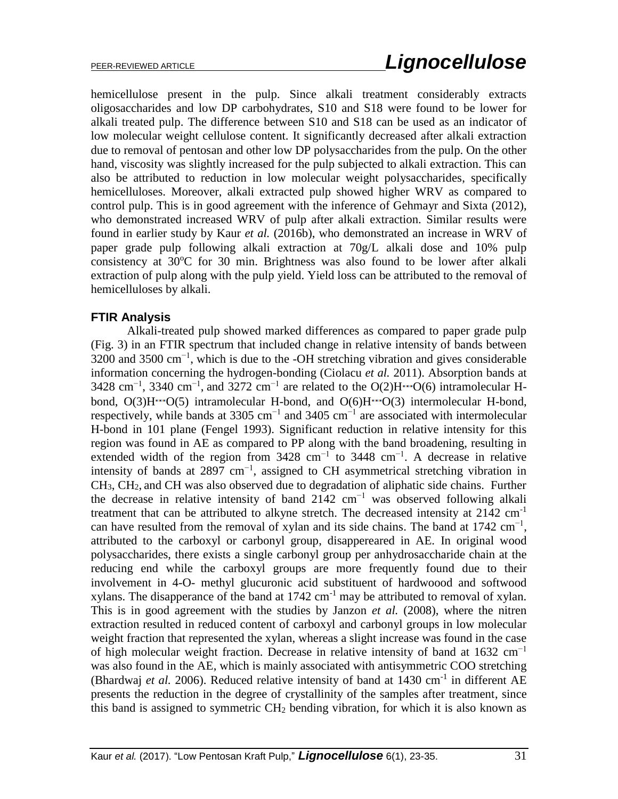hemicellulose present in the pulp. Since alkali treatment considerably extracts oligosaccharides and low DP carbohydrates, S10 and S18 were found to be lower for alkali treated pulp. The difference between S10 and S18 can be used as an indicator of low molecular weight cellulose content. It significantly decreased after alkali extraction due to removal of pentosan and other low DP polysaccharides from the pulp. On the other hand, viscosity was slightly increased for the pulp subjected to alkali extraction. This can also be attributed to reduction in low molecular weight polysaccharides, specifically hemicelluloses. Moreover, alkali extracted pulp showed higher WRV as compared to control pulp. This is in good agreement with the inference of Gehmayr and Sixta (2012), who demonstrated increased WRV of pulp after alkali extraction. Similar results were found in earlier study by Kaur *et al.* (2016b), who demonstrated an increase in WRV of paper grade pulp following alkali extraction at 70g/L alkali dose and 10% pulp consistency at  $30^{\circ}$ C for  $30$  min. Brightness was also found to be lower after alkali extraction of pulp along with the pulp yield. Yield loss can be attributed to the removal of hemicelluloses by alkali.

### **FTIR Analysis**

Alkali-treated pulp showed marked differences as compared to paper grade pulp (Fig. 3) in an FTIR spectrum that included change in relative intensity of bands between 3200 and 3500 cm<sup>-1</sup>, which is due to the -OH stretching vibration and gives considerable information concerning the hydrogen-bonding (Ciolacu *et al.* 2011). Absorption bands at 3428 cm<sup>-1</sup>, 3340 cm<sup>-1</sup>, and 3272 cm<sup>-1</sup> are related to the O(2)H···O(6) intramolecular Hbond,  $O(3)H \cdots O(5)$  intramolecular H-bond, and  $O(6)H \cdots O(3)$  intermolecular H-bond, respectively, while bands at 3305 cm<sup>-1</sup> and 3405 cm<sup>-1</sup> are associated with intermolecular H-bond in 101 plane (Fengel 1993). Significant reduction in relative intensity for this region was found in AE as compared to PP along with the band broadening, resulting in extended width of the region from  $3428 \text{ cm}^{-1}$  to  $3448 \text{ cm}^{-1}$ . A decrease in relative intensity of bands at 2897 cm<sup>-1</sup>, assigned to CH asymmetrical stretching vibration in CH3, CH2, and CH was also observed due to degradation of aliphatic side chains. Further the decrease in relative intensity of band 2142  $cm^{-1}$  was observed following alkali treatment that can be attributed to alkyne stretch. The decreased intensity at  $2142 \text{ cm}^{-1}$ can have resulted from the removal of xylan and its side chains. The band at  $1742 \text{ cm}^{-1}$ , attributed to the carboxyl or carbonyl group, disappereared in AE. In original wood polysaccharides, there exists a single carbonyl group per anhydrosaccharide chain at the reducing end while the carboxyl groups are more frequently found due to their involvement in 4-O- methyl glucuronic acid substituent of hardwoood and softwood xylans. The disapperance of the band at  $1742 \text{ cm}^{-1}$  may be attributed to removal of xylan. This is in good agreement with the studies by Janzon *et al.* (2008), where the nitren extraction resulted in reduced content of carboxyl and carbonyl groups in low molecular weight fraction that represented the xylan, whereas a slight increase was found in the case of high molecular weight fraction. Decrease in relative intensity of band at  $1632 \text{ cm}^{-1}$ was also found in the AE, which is mainly associated with antisymmetric COO stretching (Bhardwaj *et al.* 2006). Reduced relative intensity of band at  $1430 \text{ cm}^{-1}$  in different AE presents the reduction in the degree of crystallinity of the samples after treatment, since this band is assigned to symmetric  $CH<sub>2</sub>$  bending vibration, for which it is also known as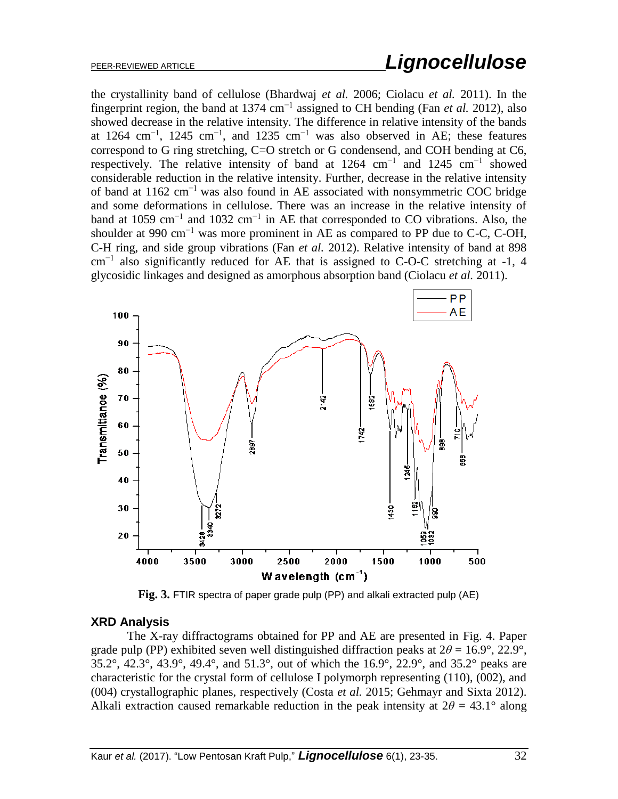the crystallinity band of cellulose (Bhardwaj *et al.* 2006; Ciolacu *et al.* 2011). In the fingerprint region, the band at 1374 cm−1 assigned to CH bending (Fan *et al.* 2012), also showed decrease in the relative intensity. The difference in relative intensity of the bands at 1264 cm<sup>-1</sup>, 1245 cm<sup>-1</sup>, and 1235 cm<sup>-1</sup> was also observed in AE; these features correspond to G ring stretching, C=O stretch or G condensend, and COH bending at C6, respectively. The relative intensity of band at  $1264 \text{ cm}^{-1}$  and  $1245 \text{ cm}^{-1}$  showed considerable reduction in the relative intensity. Further, decrease in the relative intensity of band at 1162 cm<sup>-1</sup> was also found in AE associated with nonsymmetric COC bridge and some deformations in cellulose. There was an increase in the relative intensity of band at 1059 cm−1 and 1032 cm−1 in AE that corresponded to CO vibrations. Also, the shoulder at 990 cm<sup>-1</sup> was more prominent in AE as compared to PP due to C-C, C-OH, C-H ring, and side group vibrations (Fan *et al.* 2012). Relative intensity of band at 898  $cm^{-1}$  also significantly reduced for AE that is assigned to C-O-C stretching at -1, 4 glycosidic linkages and designed as amorphous absorption band (Ciolacu *et al.* 2011).



**Fig. 3.** FTIR spectra of paper grade pulp (PP) and alkali extracted pulp (AE)

#### **XRD Analysis**

The X-ray diffractograms obtained for PP and AE are presented in Fig. 4. Paper grade pulp (PP) exhibited seven well distinguished diffraction peaks at  $2\theta = 16.9^{\circ}$ ,  $22.9^{\circ}$ , 35.2°, 42.3°, 43.9°, 49.4°, and 51.3°, out of which the 16.9°, 22.9°, and 35.2° peaks are characteristic for the crystal form of cellulose I polymorph representing (110), (002), and (004) crystallographic planes, respectively (Costa *et al.* 2015; Gehmayr and Sixta 2012). Alkali extraction caused remarkable reduction in the peak intensity at  $2\theta = 43.1^\circ$  along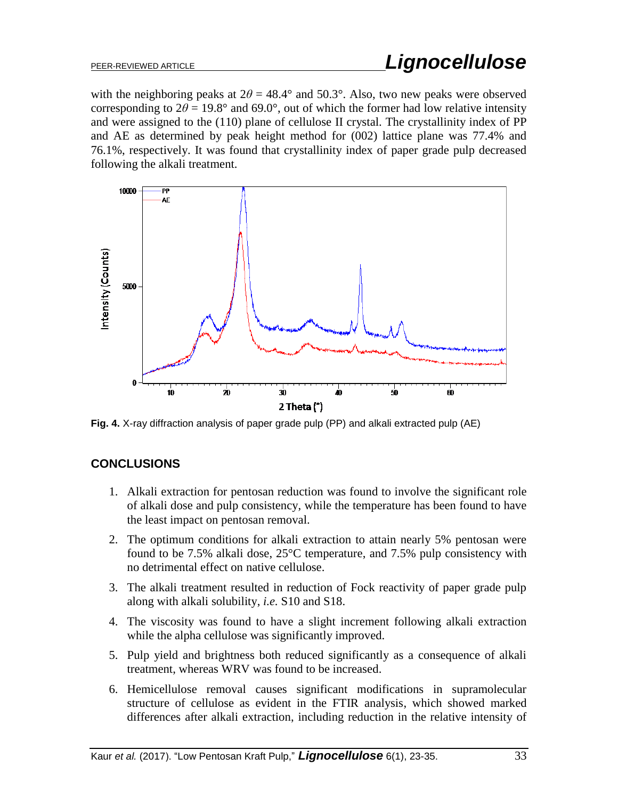with the neighboring peaks at  $2\theta = 48.4^{\circ}$  and 50.3°. Also, two new peaks were observed corresponding to  $2\theta = 19.8^{\circ}$  and  $69.0^{\circ}$ , out of which the former had low relative intensity and were assigned to the (110) plane of cellulose II crystal. The crystallinity index of PP and AE as determined by peak height method for (002) lattice plane was 77.4% and 76.1%, respectively. It was found that crystallinity index of paper grade pulp decreased following the alkali treatment.



**Fig. 4.** X-ray diffraction analysis of paper grade pulp (PP) and alkali extracted pulp (AE)

# **CONCLUSIONS**

- 1. Alkali extraction for pentosan reduction was found to involve the significant role of alkali dose and pulp consistency, while the temperature has been found to have the least impact on pentosan removal.
- 2. The optimum conditions for alkali extraction to attain nearly 5% pentosan were found to be 7.5% alkali dose, 25°C temperature, and 7.5% pulp consistency with no detrimental effect on native cellulose.
- 3. The alkali treatment resulted in reduction of Fock reactivity of paper grade pulp along with alkali solubility, *i.e.* S10 and S18.
- 4. The viscosity was found to have a slight increment following alkali extraction while the alpha cellulose was significantly improved.
- 5. Pulp yield and brightness both reduced significantly as a consequence of alkali treatment, whereas WRV was found to be increased.
- 6. Hemicellulose removal causes significant modifications in supramolecular structure of cellulose as evident in the FTIR analysis, which showed marked differences after alkali extraction, including reduction in the relative intensity of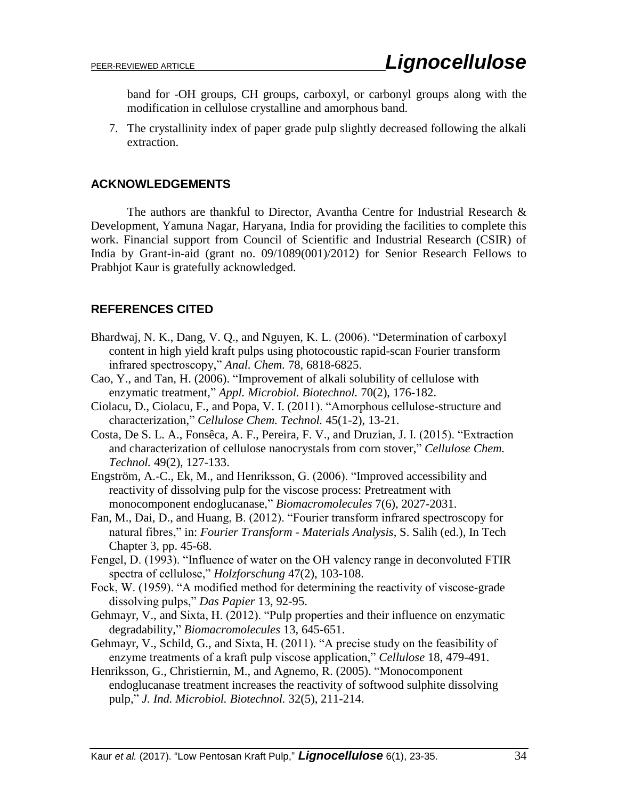band for -OH groups, CH groups, carboxyl, or carbonyl groups along with the modification in cellulose crystalline and amorphous band.

7. The crystallinity index of paper grade pulp slightly decreased following the alkali extraction.

# **ACKNOWLEDGEMENTS**

The authors are thankful to Director, Avantha Centre for Industrial Research & Development, Yamuna Nagar, Haryana, India for providing the facilities to complete this work. Financial support from Council of Scientific and Industrial Research (CSIR) of India by Grant-in-aid (grant no. 09/1089(001)/2012) for Senior Research Fellows to Prabhjot Kaur is gratefully acknowledged.

# **REFERENCES CITED**

- Bhardwaj, N. K., Dang, V. Q., and Nguyen, K. L. (2006). "Determination of carboxyl content in high yield kraft pulps using photocoustic rapid-scan Fourier transform infrared spectroscopy," *Anal. Chem.* 78, 6818-6825.
- Cao, Y., and Tan, H. (2006). "Improvement of alkali solubility of cellulose with enzymatic treatment," *Appl. Microbiol. Biotechnol.* 70(2), 176-182.
- Ciolacu, D., Ciolacu, F., and Popa, V. I. (2011). "Amorphous cellulose-structure and characterization," *Cellulose Chem. Technol.* 45(1-2), 13-21.
- Costa, De S. L. A., Fonsêca, A. F., Pereira, F. V., and Druzian, J. I. (2015). "Extraction and characterization of cellulose nanocrystals from corn stover," *Cellulose Chem. Technol.* 49(2), 127-133.
- Engström, A.-C., Ek, M., and Henriksson, G. (2006). "Improved accessibility and reactivity of dissolving pulp for the viscose process: Pretreatment with monocomponent endoglucanase," *Biomacromolecules* 7(6), 2027-2031.
- Fan, M., Dai, D., and Huang, B. (2012). "Fourier transform infrared spectroscopy for natural fibres," in: *Fourier Transform - Materials Analysis*, S. Salih (ed.), In Tech Chapter 3, pp. 45-68.
- Fengel, D. (1993). "Influence of water on the OH valency range in deconvoluted FTIR spectra of cellulose," *Holzforschung* 47(2), 103-108.
- Fock, W. (1959). "A modified method for determining the reactivity of viscose-grade dissolving pulps," *Das Papier* 13, 92-95.
- Gehmayr, V., and Sixta, H. (2012). "Pulp properties and their influence on enzymatic degradability," *Biomacromolecules* 13, 645-651.
- Gehmayr, V., Schild, G., and Sixta, H. (2011). "A precise study on the feasibility of enzyme treatments of a kraft pulp viscose application," *Cellulose* 18, 479-491.
- Henriksson, G., Christiernin, M., and Agnemo, R. (2005). "Monocomponent endoglucanase treatment increases the reactivity of softwood sulphite dissolving pulp," *J. Ind. Microbiol. Biotechnol.* 32(5), 211-214.